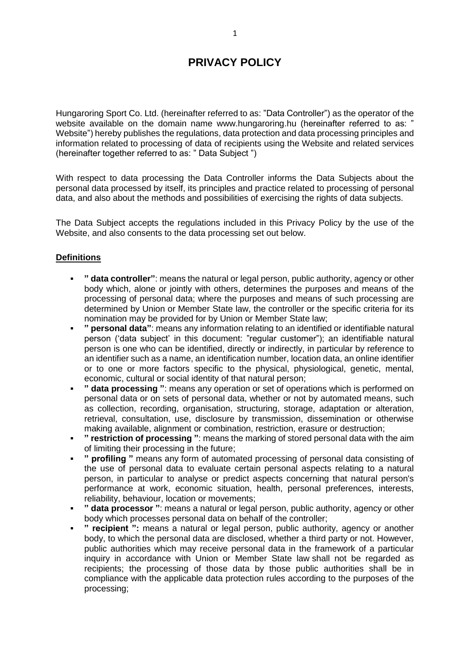# **PRIVACY POLICY**

Hungaroring Sport Co. Ltd. (hereinafter referred to as: "Data Controller") as the operator of the website available on the domain name www.hungaroring.hu (hereinafter referred to as: " Website") hereby publishes the regulations, data protection and data processing principles and information related to processing of data of recipients using the Website and related services (hereinafter together referred to as: " Data Subject ")

With respect to data processing the Data Controller informs the Data Subjects about the personal data processed by itself, its principles and practice related to processing of personal data, and also about the methods and possibilities of exercising the rights of data subjects.

The Data Subject accepts the regulations included in this Privacy Policy by the use of the Website, and also consents to the data processing set out below.

# **Definitions**

- **" data controller"**: means the natural or legal person, public authority, agency or other body which, alone or jointly with others, determines the purposes and means of the processing of personal data; where the purposes and means of such processing are determined by Union or Member State law, the controller or the specific criteria for its nomination may be provided for by Union or Member State law;
- **" personal data"**: means any information relating to an identified or identifiable natural person ('data subject' in this document: "regular customer"); an identifiable natural person is one who can be identified, directly or indirectly, in particular by reference to an identifier such as a name, an identification number, location data, an online identifier or to one or more factors specific to the physical, physiological, genetic, mental, economic, cultural or social identity of that natural person;
- **" data processing "**: means any operation or set of operations which is performed on personal data or on sets of personal data, whether or not by automated means, such as collection, recording, organisation, structuring, storage, adaptation or alteration, retrieval, consultation, use, disclosure by transmission, dissemination or otherwise making available, alignment or combination, restriction, erasure or destruction;
- **" restriction of processing "**: means the marking of stored personal data with the aim of limiting their processing in the future;
- **" profiling "** means any form of automated processing of personal data consisting of the use of personal data to evaluate certain personal aspects relating to a natural person, in particular to analyse or predict aspects concerning that natural person's performance at work, economic situation, health, personal preferences, interests, reliability, behaviour, location or movements;
- **" data processor "**: means a natural or legal person, public authority, agency or other body which processes personal data on behalf of the controller;
- **" recipient ":** means a natural or legal person, public authority, agency or another body, to which the personal data are disclosed, whether a third party or not. However, public authorities which may receive personal data in the framework of a particular inquiry in accordance with Union or Member State law shall not be regarded as recipients; the processing of those data by those public authorities shall be in compliance with the applicable data protection rules according to the purposes of the processing;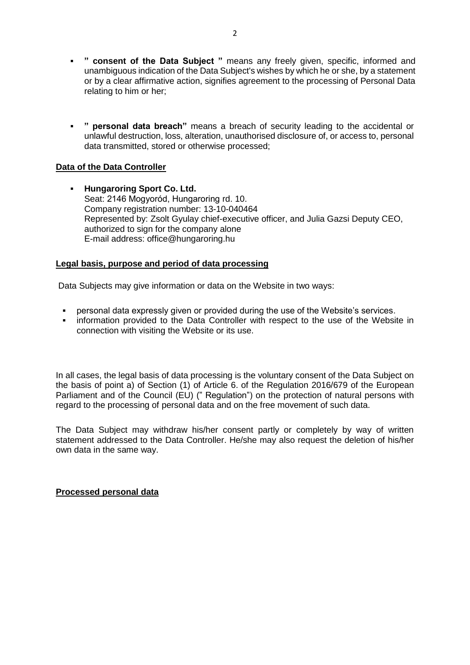- **" consent of the Data Subject "** means any freely given, specific, informed and unambiguous indication of the Data Subject's wishes by which he or she, by a statement or by a clear affirmative action, signifies agreement to the processing of Personal Data relating to him or her;
- **" personal data breach"** means a breach of security leading to the accidental or unlawful destruction, loss, alteration, unauthorised disclosure of, or access to, personal data transmitted, stored or otherwise processed;

# **Data of the Data Controller**

 **Hungaroring Sport Co. Ltd.** Seat: 2146 Mogyoród, Hungaroring rd. 10. Company registration number: 13-10-040464 Represented by: Zsolt Gyulay chief-executive officer, and Julia Gazsi Deputy CEO, authorized to sign for the company alone E-mail address: office@hungaroring.hu

### **Legal basis, purpose and period of data processing**

Data Subjects may give information or data on the Website in two ways:

- personal data expressly given or provided during the use of the Website's services.
- **EXEDENT** information provided to the Data Controller with respect to the use of the Website in connection with visiting the Website or its use.

In all cases, the legal basis of data processing is the voluntary consent of the Data Subject on the basis of point a) of Section (1) of Article 6. of the Regulation 2016/679 of the European Parliament and of the Council (EU) (" Regulation") on the protection of natural persons with regard to the processing of personal data and on the free movement of such data.

The Data Subject may withdraw his/her consent partly or completely by way of written statement addressed to the Data Controller. He/she may also request the deletion of his/her own data in the same way.

# **Processed personal data**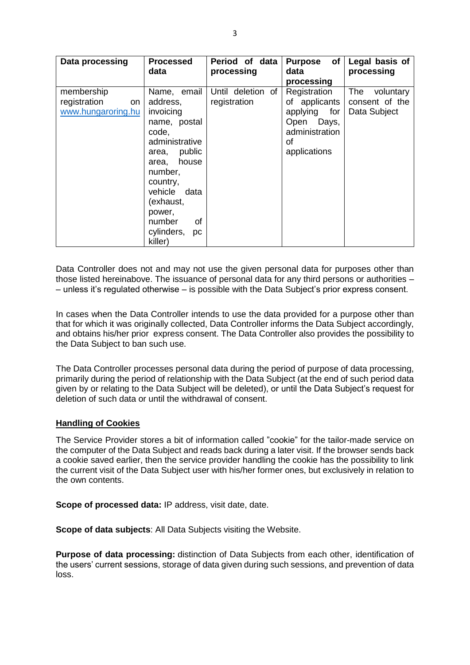| Data processing                                        | <b>Processed</b><br>data                                                                                                                                                                                                             | Period of data<br>processing      | <b>of</b><br><b>Purpose</b><br>data<br>processing                                                      | Legal basis of<br>processing                       |
|--------------------------------------------------------|--------------------------------------------------------------------------------------------------------------------------------------------------------------------------------------------------------------------------------------|-----------------------------------|--------------------------------------------------------------------------------------------------------|----------------------------------------------------|
| membership<br>registration<br>on<br>www.hungaroring.hu | Name, email<br>address,<br>invoicing<br>name, postal<br>code,<br>administrative<br>public<br>area,<br>house<br>area.<br>number,<br>country,<br>vehicle<br>data<br>(exhaust,<br>power,<br>οf<br>number<br>cylinders,<br>pc<br>killer) | Until deletion of<br>registration | Registration<br>of applicants<br>applying<br>for<br>Open Days,<br>administration<br>οf<br>applications | The<br>voluntary<br>consent of the<br>Data Subject |

Data Controller does not and may not use the given personal data for purposes other than those listed hereinabove. The issuance of personal data for any third persons or authorities – – unless it's regulated otherwise – is possible with the Data Subject's prior express consent.

In cases when the Data Controller intends to use the data provided for a purpose other than that for which it was originally collected, Data Controller informs the Data Subject accordingly, and obtains his/her prior express consent. The Data Controller also provides the possibility to the Data Subject to ban such use.

The Data Controller processes personal data during the period of purpose of data processing, primarily during the period of relationship with the Data Subject (at the end of such period data given by or relating to the Data Subject will be deleted), or until the Data Subject's request for deletion of such data or until the withdrawal of consent.

# **Handling of Cookies**

The Service Provider stores a bit of information called "cookie" for the tailor-made service on the computer of the Data Subject and reads back during a later visit. If the browser sends back a cookie saved earlier, then the service provider handling the cookie has the possibility to link the current visit of the Data Subject user with his/her former ones, but exclusively in relation to the own contents.

**Scope of processed data:** IP address, visit date, date.

**Scope of data subjects**: All Data Subjects visiting the Website.

**Purpose of data processing:** distinction of Data Subjects from each other, identification of the users' current sessions, storage of data given during such sessions, and prevention of data loss.